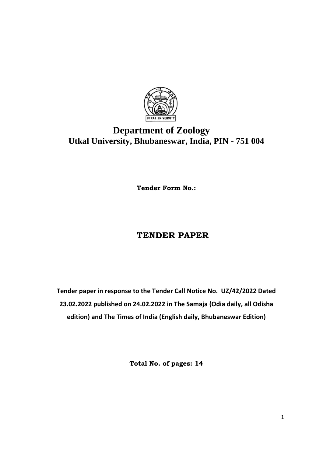

# **Department of Zoology Utkal University, Bhubaneswar, India, PIN - 751 004**

**Tender Form No.:**

## **TENDER PAPER**

**Tender paper in response to the Tender Call Notice No. UZ/42/2022 Dated 23.02.2022 published on 24.02.2022 in The Samaja (Odia daily, all Odisha edition) and The Times of India (English daily, Bhubaneswar Edition)**

**Total No. of pages: 14**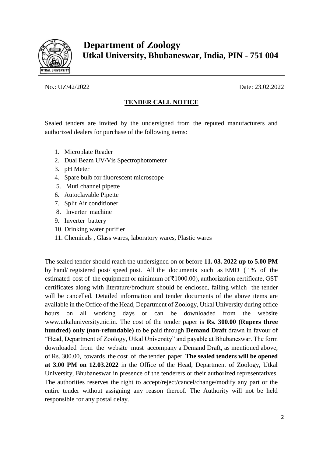

 **Department of Zoology Utkal University, Bhubaneswar, India, PIN - 751 004**

#### No.: UZ/42/2022 Date: 23.02.2022

### **TENDER CALL NOTICE**

Sealed tenders are invited by the undersigned from the reputed manufacturers and authorized dealers for purchase of the following items:

- 1. Microplate Reader
- 2. Dual Beam UV/Vis Spectrophotometer
- 3. pH Meter
- 4. Spare bulb for fluorescent microscope
- 5. Muti channel pipette
- 6. Autoclavable Pipette
- 7. Split Air conditioner
- 8. Inverter machine
- 9. Inverter battery
- 10. Drinking water purifier
- 11. Chemicals , Glass wares, laboratory wares, Plastic wares

The sealed tender should reach the undersigned on or before **11. 03. 2022 up to 5.00 PM**  by hand/ registered post/ speed post. All the documents such as EMD ( 1% of the estimated cost of the equipment or minimum of ₹1000.00), authorization certificate, GST certificates along with literature/brochure should be enclosed, failing which the tender will be cancelled. Detailed information and tender documents of the above items are available in the Office of the Head, Department of Zoology, Utkal University during office hours on all working days or can be downloaded from the website [www.utkaluniversity.nic.in.](http://www.utkaluniversity.nic.in/) The cost of the tender paper is **Rs. 300.00 (Rupees three hundred) only (non-refundable)** to be paid through **Demand Draft** drawn in favour of "Head, Department of Zoology, Utkal University" and payable at Bhubaneswar. The form downloaded from the website must accompany a Demand Draft, as mentioned above, of Rs. 300.00, towards the cost of the tender paper. **The sealed tenders will be opened at 3.00 PM on 12.03.2022** in the Office of the Head, Department of Zoology, Utkal University, Bhubaneswar in presence of the tenderers or their authorized representatives. The authorities reserves the right to accept/reject/cancel/change/modify any part or the entire tender without assigning any reason thereof. The Authority will not be held responsible for any postal delay.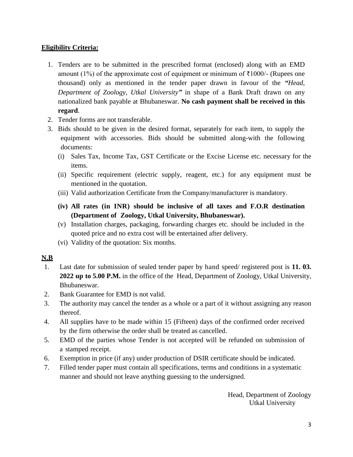#### **Eligibility Criteria:**

- 1. Tenders are to be submitted in the prescribed format (enclosed) along with an EMD amount (1%) of the approximate cost of equipment or minimum of  $\bar{\tau}1000$ /- (Rupees one thousand) only as mentioned in the tender paper drawn in favour of the *"Head, Department of Zoology, Utkal University"* in shape of a Bank Draft drawn on any nationalized bank payable at Bhubaneswar. **No cash payment shall be received in this regard**.
- 2. Tender forms are not transferable.
- 3. Bids should to be given in the desired format, separately for each item, to supply the equipment with accessories. Bids should be submitted along-with the following documents:
	- (i) Sales Tax, Income Tax, GST Certificate or the Excise License etc. necessary for the items.
	- (ii) Specific requirement (electric supply, reagent, etc.) for any equipment must be mentioned in the quotation.
	- (iii) Valid authorization Certificate from the Company/manufacturer is mandatory.
	- **(iv) All rates (in INR) should be inclusive of all taxes and F.O.R destination (Department of Zoology, Utkal University, Bhubaneswar).**
	- (v) Installation charges, packaging, forwarding charges etc. should be included in the quoted price and no extra cost will be entertained after delivery.
	- (vi) Validity of the quotation: Six months.

#### **N.B**

- 1. Last date for submission of sealed tender paper by hand speed/ registered post is **11. 03. 2022 up to 5.00 P.M.** in the office of the Head, Department of Zoology, Utkal University, Bhubaneswar.
- 2. Bank Guarantee for EMD is not valid.
- 3. The authority may cancel the tender as a whole or a part of it without assigning any reason thereof.
- 4. All supplies have to be made within 15 (Fifteen) days of the confirmed order received by the firm otherwise the order shall be treated as cancelled.
- 5. EMD of the parties whose Tender is not accepted will be refunded on submission of a stamped receipt.
- 6. Exemption in price (if any) under production of DSIR certificate should be indicated.
- 7. Filled tender paper must contain all specifications, terms and conditions in a systematic manner and should not leave anything guessing to the undersigned.

Head, Department of Zoology Utkal University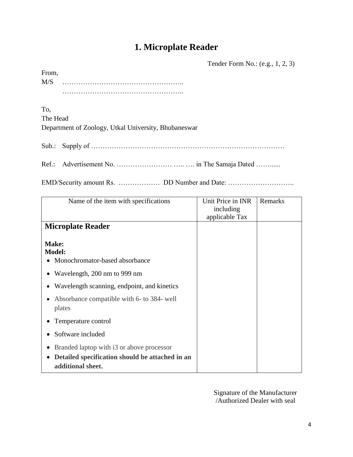## **1. Microplate Reader**

Tender Form No.: (e.g., 1, 2, 3)

| From, |  |  |  |  |  |  |  |  |  |  |  |  |  |  |  |  |  |  |  |  |
|-------|--|--|--|--|--|--|--|--|--|--|--|--|--|--|--|--|--|--|--|--|
| M/S   |  |  |  |  |  |  |  |  |  |  |  |  |  |  |  |  |  |  |  |  |
|       |  |  |  |  |  |  |  |  |  |  |  |  |  |  |  |  |  |  |  |  |

To,

The Head Department of Zoology, Utkal University, Bhubaneswar

Sub.: Supply of …………………………………………………………………………

Ref.: Advertisement No. ………………………………… in The Samaja Dated …………

EMD/Security amount Rs. ……………… DD Number and Date: ………………………..

| Name of the item with specifications                                                                              | Unit Price in INR<br>including<br>applicable Tax | Remarks |
|-------------------------------------------------------------------------------------------------------------------|--------------------------------------------------|---------|
| <b>Microplate Reader</b>                                                                                          |                                                  |         |
| Make:<br><b>Model:</b><br>Monochromator-based absorbance                                                          |                                                  |         |
| Wavelength, 200 nm to 999 nm                                                                                      |                                                  |         |
| Wavelength scanning, endpoint, and kinetics                                                                       |                                                  |         |
| Absorbance compatible with 6- to 384- well<br>plates                                                              |                                                  |         |
| Temperature control                                                                                               |                                                  |         |
| Software included                                                                                                 |                                                  |         |
| Branded laptop with i3 or above processor<br>Detailed specification should be attached in an<br>additional sheet. |                                                  |         |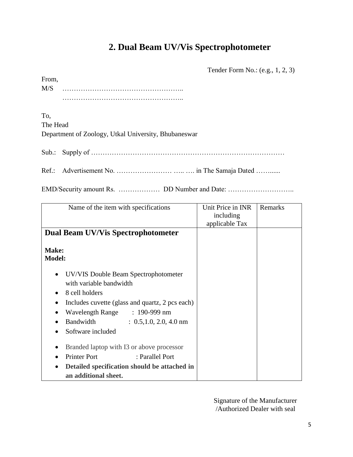## **2. Dual Beam UV/Vis Spectrophotometer**

Tender Form No.: (e.g., 1, 2, 3)

| From, |  |
|-------|--|
| M/S   |  |
|       |  |

To, The Head Department of Zoology, Utkal University, Bhubaneswar

Sub.: Supply of …………………………………………………………………………

Ref.: Advertisement No. …………………… ….. …. in The Samaja Dated ……......

EMD/Security amount Rs. ……………… DD Number and Date: ………………………..

| Name of the item with specifications              | Unit Price in INR | Remarks |
|---------------------------------------------------|-------------------|---------|
|                                                   | including         |         |
|                                                   | applicable Tax    |         |
| <b>Dual Beam UV/Vis Spectrophotometer</b>         |                   |         |
|                                                   |                   |         |
| Make:                                             |                   |         |
| <b>Model:</b>                                     |                   |         |
|                                                   |                   |         |
| <b>UV/VIS Double Beam Spectrophotometer</b>       |                   |         |
| with variable bandwidth                           |                   |         |
| 8 cell holders                                    |                   |         |
| Includes cuvette (glass and quartz, 2 pcs each)   |                   |         |
| Wavelength Range : 190-999 nm<br>$\bullet$        |                   |         |
| Bandwidth : 0.5,1.0, 2.0, 4.0 nm                  |                   |         |
| Software included                                 |                   |         |
|                                                   |                   |         |
| Branded laptop with I3 or above processor         |                   |         |
| <b>Printer Port</b><br>: Parallel Port            |                   |         |
| Detailed specification should be attached in<br>٠ |                   |         |
| an additional sheet.                              |                   |         |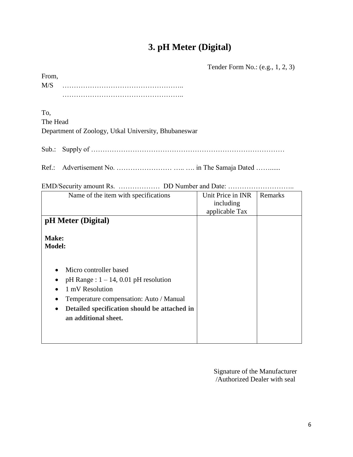## **3. pH Meter (Digital)**

Tender Form No.: (e.g., 1, 2, 3)

| From, |  |  |  |  |  |  |  |  |  |  |  |  |  |  |  |  |  |  |  |  |  |  |  |
|-------|--|--|--|--|--|--|--|--|--|--|--|--|--|--|--|--|--|--|--|--|--|--|--|
| M/S   |  |  |  |  |  |  |  |  |  |  |  |  |  |  |  |  |  |  |  |  |  |  |  |
|       |  |  |  |  |  |  |  |  |  |  |  |  |  |  |  |  |  |  |  |  |  |  |  |

To, The Head Department of Zoology, Utkal University, Bhubaneswar

Sub.: Supply of …………………………………………………………………………

Ref.: Advertisement No. ……………………………… in The Samaja Dated …………

| Name of the item with specifications                                                                                                                                                                                                                     | Unit Price in INR | Remarks |
|----------------------------------------------------------------------------------------------------------------------------------------------------------------------------------------------------------------------------------------------------------|-------------------|---------|
|                                                                                                                                                                                                                                                          | including         |         |
|                                                                                                                                                                                                                                                          | applicable Tax    |         |
| pH Meter (Digital)                                                                                                                                                                                                                                       |                   |         |
| Make:<br><b>Model:</b>                                                                                                                                                                                                                                   |                   |         |
| Micro controller based<br>$\bullet$<br>$pH$ Range : $1 - 14$ , 0.01 $pH$ resolution<br>1 mV Resolution<br>٠<br>Temperature compensation: Auto / Manual<br>$\bullet$<br>Detailed specification should be attached in<br>$\bullet$<br>an additional sheet. |                   |         |

EMD/Security amount Rs. ……………… DD Number and Date: ………………………..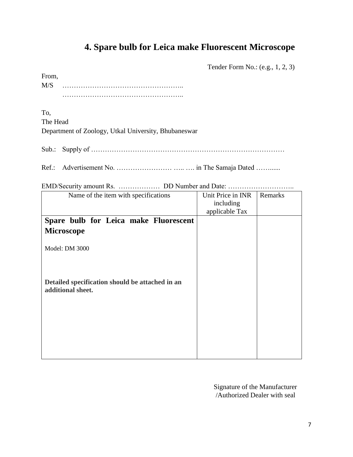### **4. Spare bulb for Leica make Fluorescent Microscope**

Tender Form No.: (e.g., 1, 2, 3)

From, M/S …………………………………………….. ……………………………………………..

To, The Head Department of Zoology, Utkal University, Bhubaneswar

Sub.: Supply of …………………………………………………………………………

Ref.: Advertisement No. …………………… ….. …. in The Samaja Dated ……......

EMD/Security amount Rs. ……………… DD Number and Date: ………………………..

| Name of the item with specifications            | Unit Price in INR | Remarks |
|-------------------------------------------------|-------------------|---------|
|                                                 | including         |         |
|                                                 | applicable Tax    |         |
| Spare bulb for Leica make Fluorescent           |                   |         |
| <b>Microscope</b>                               |                   |         |
|                                                 |                   |         |
| Model: DM 3000                                  |                   |         |
|                                                 |                   |         |
|                                                 |                   |         |
| Detailed specification should be attached in an |                   |         |
| additional sheet.                               |                   |         |
|                                                 |                   |         |
|                                                 |                   |         |
|                                                 |                   |         |
|                                                 |                   |         |
|                                                 |                   |         |
|                                                 |                   |         |
|                                                 |                   |         |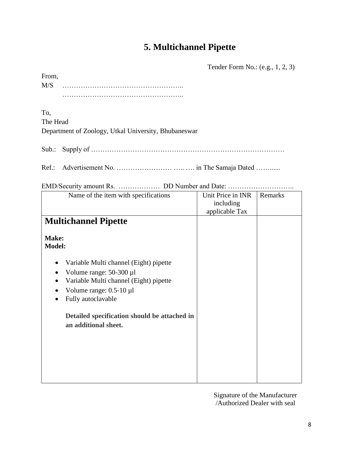## **5. Multichannel Pipette**

Tender Form No.: (e.g., 1, 2, 3)

| From, |  |  |  |  |  |  |  |  |  |  |  |  |  |  |  |  |  |  |  |
|-------|--|--|--|--|--|--|--|--|--|--|--|--|--|--|--|--|--|--|--|
| M/S   |  |  |  |  |  |  |  |  |  |  |  |  |  |  |  |  |  |  |  |
|       |  |  |  |  |  |  |  |  |  |  |  |  |  |  |  |  |  |  |  |

To, The Head Department of Zoology, Utkal University, Bhubaneswar

Sub.: Supply of …………………………………………………………………………

Ref.: Advertisement No. ……………………………… in The Samaja Dated …………

| Name of the item with specifications                                 | Unit Price in INR | Remarks |
|----------------------------------------------------------------------|-------------------|---------|
|                                                                      | including         |         |
|                                                                      | applicable Tax    |         |
| <b>Multichannel Pipette</b>                                          |                   |         |
| Make:<br><b>Model:</b>                                               |                   |         |
| Variable Multi channel (Eight) pipette                               |                   |         |
| Volume range: $50-300 \mu l$                                         |                   |         |
| Variable Multi channel (Eight) pipette                               |                   |         |
|                                                                      |                   |         |
| Volume range: $0.5-10 \mu l$                                         |                   |         |
| Fully autoclavable                                                   |                   |         |
| Detailed specification should be attached in<br>an additional sheet. |                   |         |
|                                                                      |                   |         |
|                                                                      |                   |         |
|                                                                      |                   |         |
|                                                                      |                   |         |
|                                                                      |                   |         |

 $EMD/S$ equrity amount  $D_S$  .  $DD$  Number and Date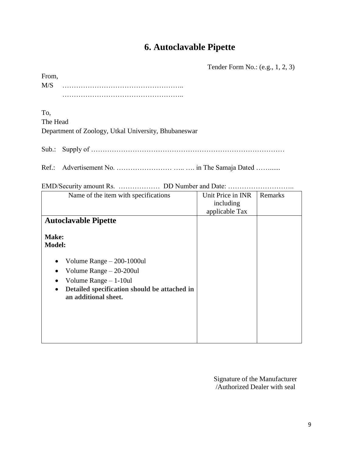## **6. Autoclavable Pipette**

Tender Form No.: (e.g., 1, 2, 3)

| From, |  |  |  |  |  |  |  |  |  |  |  |  |  |  |  |  |  |  |  |  |  |  |
|-------|--|--|--|--|--|--|--|--|--|--|--|--|--|--|--|--|--|--|--|--|--|--|
| M/S   |  |  |  |  |  |  |  |  |  |  |  |  |  |  |  |  |  |  |  |  |  |  |
|       |  |  |  |  |  |  |  |  |  |  |  |  |  |  |  |  |  |  |  |  |  |  |

To, The Head Department of Zoology, Utkal University, Bhubaneswar

Sub.: Supply of …………………………………………………………………………

Ref.: Advertisement No. ……………………………… in The Samaja Dated …………

| Name of the item with specifications                                              | Unit Price in INR | Remarks |
|-----------------------------------------------------------------------------------|-------------------|---------|
|                                                                                   | including         |         |
|                                                                                   | applicable Tax    |         |
| <b>Autoclavable Pipette</b>                                                       |                   |         |
| Make:                                                                             |                   |         |
| <b>Model:</b>                                                                     |                   |         |
| Volume Range $-200-1000$ ul<br>$\bullet$                                          |                   |         |
| Volume Range $-20-200$ ul<br>$\bullet$                                            |                   |         |
| Volume Range $-1-10ul$                                                            |                   |         |
| Detailed specification should be attached in<br>$\bullet$<br>an additional sheet. |                   |         |
|                                                                                   |                   |         |
|                                                                                   |                   |         |
|                                                                                   |                   |         |
|                                                                                   |                   |         |
|                                                                                   |                   |         |

EMD/Security amount Rs. . . . . . . . . DD Number and Date: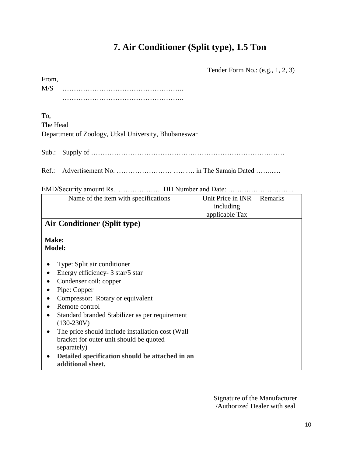## **7. Air Conditioner (Split type), 1.5 Ton**

Tender Form No.: (e.g., 1, 2, 3)

| From, |  |
|-------|--|
| M/S   |  |
|       |  |

To, The Head Department of Zoology, Utkal University, Bhubaneswar

Sub.: Supply of …………………………………………………………………………

Ref.: Advertisement No. …………………………………… in The Samaja Dated …………

EMD/Security amount Rs. ……………… DD Number and Date: ………………………..

| Name of the item with specifications                                                                                                                                                                                                                                                                                                                                                                                     | Unit Price in INR<br>including<br>applicable Tax | Remarks |
|--------------------------------------------------------------------------------------------------------------------------------------------------------------------------------------------------------------------------------------------------------------------------------------------------------------------------------------------------------------------------------------------------------------------------|--------------------------------------------------|---------|
| <b>Air Conditioner (Split type)</b>                                                                                                                                                                                                                                                                                                                                                                                      |                                                  |         |
| Make:<br><b>Model:</b>                                                                                                                                                                                                                                                                                                                                                                                                   |                                                  |         |
| Type: Split air conditioner<br>Energy efficiency- 3 star/5 star<br>Condenser coil: copper<br>Pipe: Copper<br>Compressor: Rotary or equivalent<br>Remote control<br>Standard branded Stabilizer as per requirement<br>$(130-230V)$<br>The price should include installation cost (Wall)<br>bracket for outer unit should be quoted<br>separately)<br>Detailed specification should be attached in an<br>additional sheet. |                                                  |         |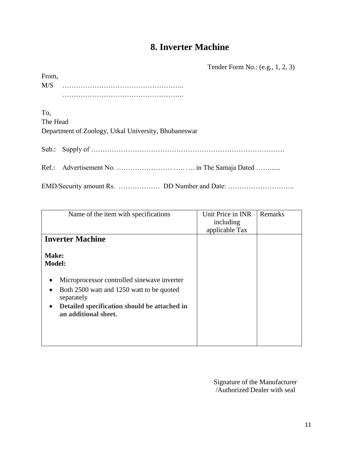### **8. Inverter Machine**

Tender Form No.: (e.g., 1, 2, 3)

| From, |  |  |  |  |  |  |  |  |  |  |  |  |  |  |  |  |  |  |  |
|-------|--|--|--|--|--|--|--|--|--|--|--|--|--|--|--|--|--|--|--|
| M/S   |  |  |  |  |  |  |  |  |  |  |  |  |  |  |  |  |  |  |  |
|       |  |  |  |  |  |  |  |  |  |  |  |  |  |  |  |  |  |  |  |

To, The Head Department of Zoology, Utkal University, Bhubaneswar

Sub.: Supply of …………………………………………………………………………

Ref.: Advertisement No. ………………………………… in The Samaja Dated …………

EMD/Security amount Rs. ……………… DD Number and Date: ………………………..

| Name of the item with specifications                                                                                                         | Unit Price in INR<br>including<br>applicable Tax | Remarks |
|----------------------------------------------------------------------------------------------------------------------------------------------|--------------------------------------------------|---------|
| <b>Inverter Machine</b>                                                                                                                      |                                                  |         |
| Make:<br><b>Model:</b><br>Microprocessor controlled sinewave inverter                                                                        |                                                  |         |
| Both 2500 watt and 1250 watt to be quoted<br>separately<br>Detailed specification should be attached in<br>$\bullet$<br>an additional sheet. |                                                  |         |
|                                                                                                                                              |                                                  |         |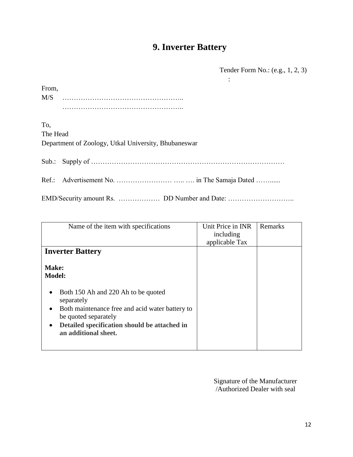# **9. Inverter Battery**

Tender Form No.: (e.g., 1, 2, 3)

| From,    |                                                      |
|----------|------------------------------------------------------|
|          |                                                      |
|          |                                                      |
| To,      |                                                      |
| The Head |                                                      |
|          | Department of Zoology, Utkal University, Bhubaneswar |
|          |                                                      |
|          |                                                      |
|          |                                                      |

| Name of the item with specifications                                                 | Unit Price in INR | Remarks |
|--------------------------------------------------------------------------------------|-------------------|---------|
|                                                                                      |                   |         |
|                                                                                      | including         |         |
|                                                                                      | applicable Tax    |         |
| <b>Inverter Battery</b>                                                              |                   |         |
| Make:<br><b>Model:</b>                                                               |                   |         |
| Both 150 Ah and 220 Ah to be quoted<br>separately                                    |                   |         |
| Both maintenance free and acid water battery to<br>$\bullet$<br>be quoted separately |                   |         |
| Detailed specification should be attached in<br>$\bullet$<br>an additional sheet.    |                   |         |
|                                                                                      |                   |         |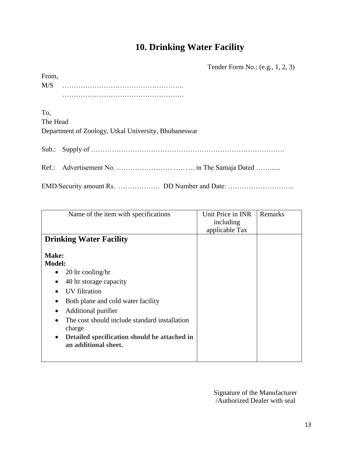### **10. Drinking Water Facility**

Tender Form No.: (e.g., 1, 2, 3)

| From, |  |  |  |  |  |  |  |  |  |  |  |  |  |  |  |  |  |  |  |  |
|-------|--|--|--|--|--|--|--|--|--|--|--|--|--|--|--|--|--|--|--|--|
| M/S   |  |  |  |  |  |  |  |  |  |  |  |  |  |  |  |  |  |  |  |  |
|       |  |  |  |  |  |  |  |  |  |  |  |  |  |  |  |  |  |  |  |  |

To, The Head Department of Zoology, Utkal University, Bhubaneswar

Sub.: Supply of …………………………………………………………………………

Ref.: Advertisement No. ……………………………… in The Samaja Dated …………

EMD/Security amount Rs. ……………… DD Number and Date: ………………………..

| Name of the item with specifications                                                                                                                                                                                                                                                                                                  | Unit Price in INR<br>including<br>applicable Tax | Remarks |
|---------------------------------------------------------------------------------------------------------------------------------------------------------------------------------------------------------------------------------------------------------------------------------------------------------------------------------------|--------------------------------------------------|---------|
| <b>Drinking Water Facility</b>                                                                                                                                                                                                                                                                                                        |                                                  |         |
| <b>Make:</b><br><b>Model:</b><br>20 ltr cooling/hr<br>40 ltr storage capacity<br>$\bullet$<br>UV filtration<br>Both plane and cold water facility<br>Additional purifier<br>$\bullet$<br>The cost should include standard installation<br>charge<br>Detailed specification should be attached in<br>$\bullet$<br>an additional sheet. |                                                  |         |